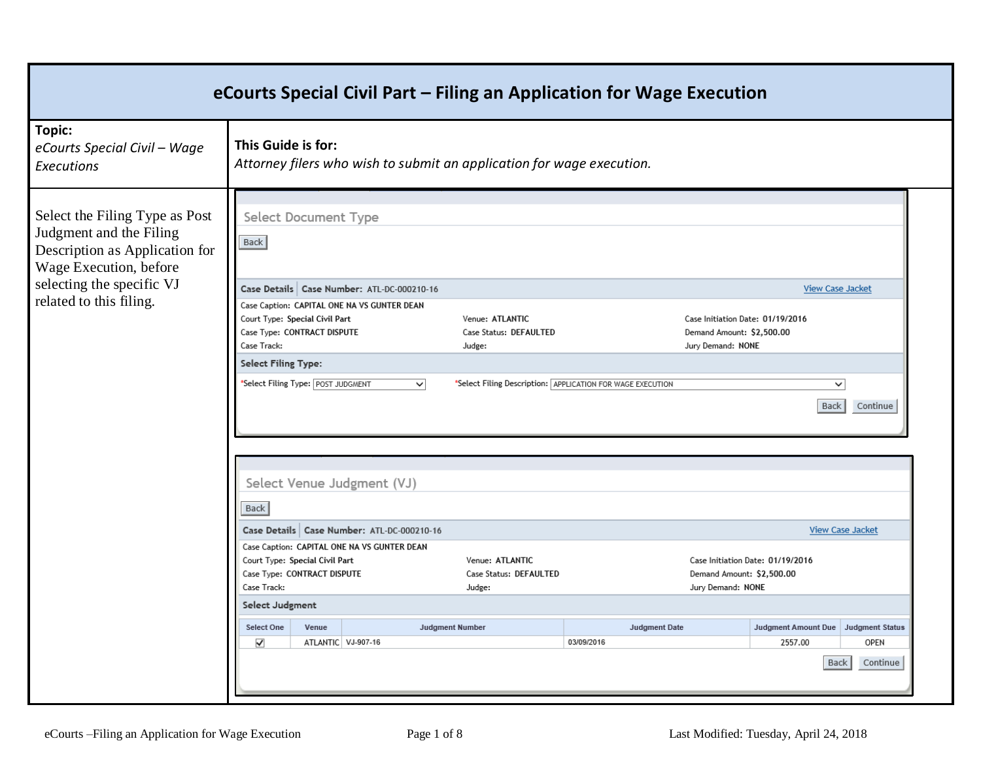|                                                                                                                       |                                                                                                               |       |                                                                                             | eCourts Special Civil Part - Filing an Application for Wage Execution         |                                                            |                                                                                    |                                                                         |                         |
|-----------------------------------------------------------------------------------------------------------------------|---------------------------------------------------------------------------------------------------------------|-------|---------------------------------------------------------------------------------------------|-------------------------------------------------------------------------------|------------------------------------------------------------|------------------------------------------------------------------------------------|-------------------------------------------------------------------------|-------------------------|
| Topic:<br>eCourts Special Civil - Wage<br>Executions                                                                  | This Guide is for:                                                                                            |       |                                                                                             | Attorney filers who wish to submit an application for wage execution.         |                                                            |                                                                                    |                                                                         |                         |
| Select the Filing Type as Post<br>Judgment and the Filing<br>Description as Application for<br>Wage Execution, before | Select Document Type<br>Back                                                                                  |       |                                                                                             |                                                                               |                                                            |                                                                                    |                                                                         |                         |
| selecting the specific VJ<br>related to this filing.                                                                  | Court Type: Special Civil Part<br>Case Type: CONTRACT DISPUTE<br>Case Track:                                  |       | Case Details   Case Number: ATL-DC-000210-16<br>Case Caption: CAPITAL ONE NA VS GUNTER DEAN | Venue: ATLANTIC<br>Case Status: DEFAULTED<br>Judge:                           |                                                            | Case Initiation Date: 01/19/2016<br>Demand Amount: \$2,500.00<br>Jury Demand: NONE | <b>View Case Jacket</b>                                                 |                         |
|                                                                                                                       | <b>Select Filing Type:</b><br>*Select Filing Type: POST JUDGMENT                                              |       | $\overline{\mathsf{v}}$                                                                     |                                                                               | *Select Filing Description: APPLICATION FOR WAGE EXECUTION |                                                                                    | $\checkmark$<br>Back                                                    | Continue                |
|                                                                                                                       | Back                                                                                                          |       | Select Venue Judgment (VJ)                                                                  |                                                                               |                                                            |                                                                                    |                                                                         |                         |
|                                                                                                                       | Court Type: Special Civil Part<br>Case Type: CONTRACT DISPUTE<br>Case Track:<br>Select Judgment<br>Select One | Venue | Case Details   Case Number: ATL-DC-000210-16<br>Case Caption: CAPITAL ONE NA VS GUNTER DEAN | Venue: ATLANTIC<br>Case Status: DEFAULTED<br>Judge:<br><b>Judgment Number</b> | <b>Judgment Date</b>                                       | Demand Amount: \$2,500.00<br>Jury Demand: NONE                                     | Case Initiation Date: 01/19/2016<br>Judgment Amount Due Judgment Status | <b>View Case Jacket</b> |
|                                                                                                                       | $\blacktriangledown$                                                                                          |       | ATLANTIC VJ-907-16                                                                          |                                                                               | 03/09/2016                                                 |                                                                                    | 2557.00<br>Back                                                         | OPEN<br>Continue        |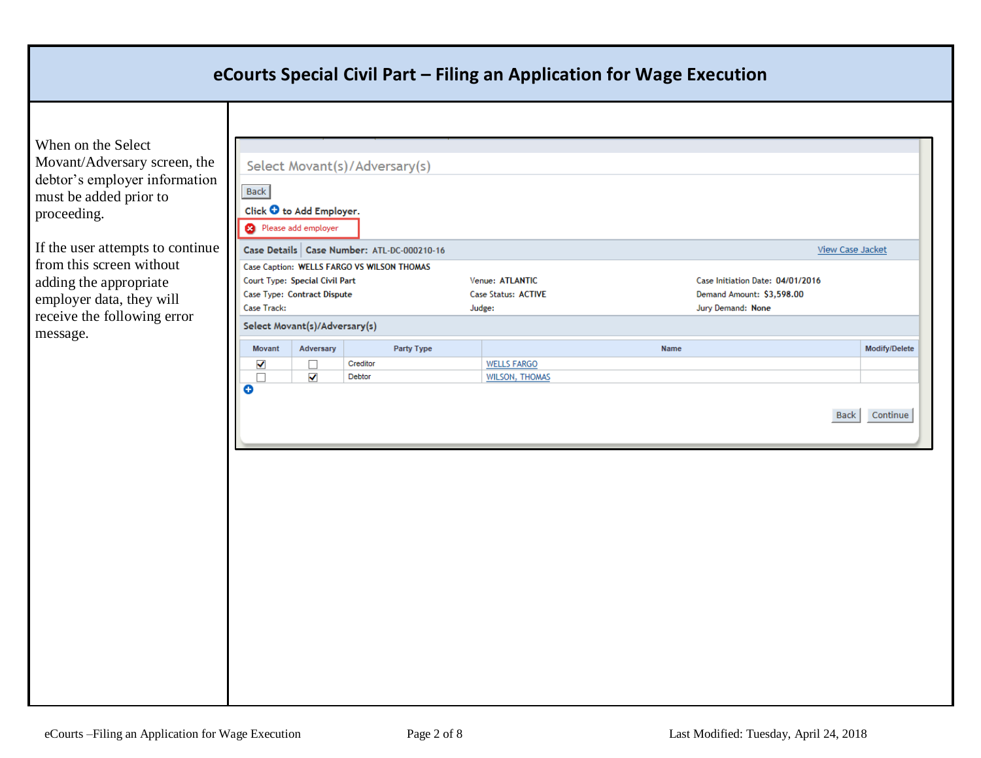When on the Select Movant/Adversary screen, the debtor's employer information must be added prior to proceeding.

If the user attempts to continue from this screen without adding the appropriate employer data, they will receive the following error message.

| <b>Back</b>          | Click $\bullet$ to Add Employer.<br><sup>2</sup> Please add employer |                                            |                       |                                  |                         |
|----------------------|----------------------------------------------------------------------|--------------------------------------------|-----------------------|----------------------------------|-------------------------|
|                      |                                                                      | Case Details Case Number: ATL-DC-000210-16 |                       |                                  | View Case Jacket        |
|                      |                                                                      | Case Caption: WELLS FARGO VS WILSON THOMAS |                       |                                  |                         |
|                      | Court Type: Special Civil Part                                       |                                            | Venue: ATLANTIC       | Case Initiation Date: 04/01/2016 |                         |
|                      | Case Type: Contract Dispute                                          |                                            | Case Status: ACTIVE   | Demand Amount: \$3,598.00        |                         |
| Case Track:          |                                                                      |                                            | Judge:                | Jury Demand: None                |                         |
|                      | Select Movant(s)/Adversary(s)                                        |                                            |                       |                                  |                         |
| Movant               | Adversary                                                            | Party Type                                 |                       | Name                             | Modify/Delete           |
| $\blacktriangledown$ | □                                                                    | Creditor                                   | <b>WELLS FARGO</b>    |                                  |                         |
| П<br>Θ               | $\checkmark$                                                         | Debtor                                     | <b>WILSON, THOMAS</b> |                                  |                         |
|                      |                                                                      |                                            |                       |                                  | Continue<br><b>Back</b> |
|                      |                                                                      |                                            |                       |                                  |                         |
|                      |                                                                      |                                            |                       |                                  |                         |
|                      |                                                                      |                                            |                       |                                  |                         |
|                      |                                                                      |                                            |                       |                                  |                         |
|                      |                                                                      |                                            |                       |                                  |                         |
|                      |                                                                      |                                            |                       |                                  |                         |
|                      |                                                                      |                                            |                       |                                  |                         |
|                      |                                                                      |                                            |                       |                                  |                         |
|                      |                                                                      |                                            |                       |                                  |                         |
|                      |                                                                      |                                            |                       |                                  |                         |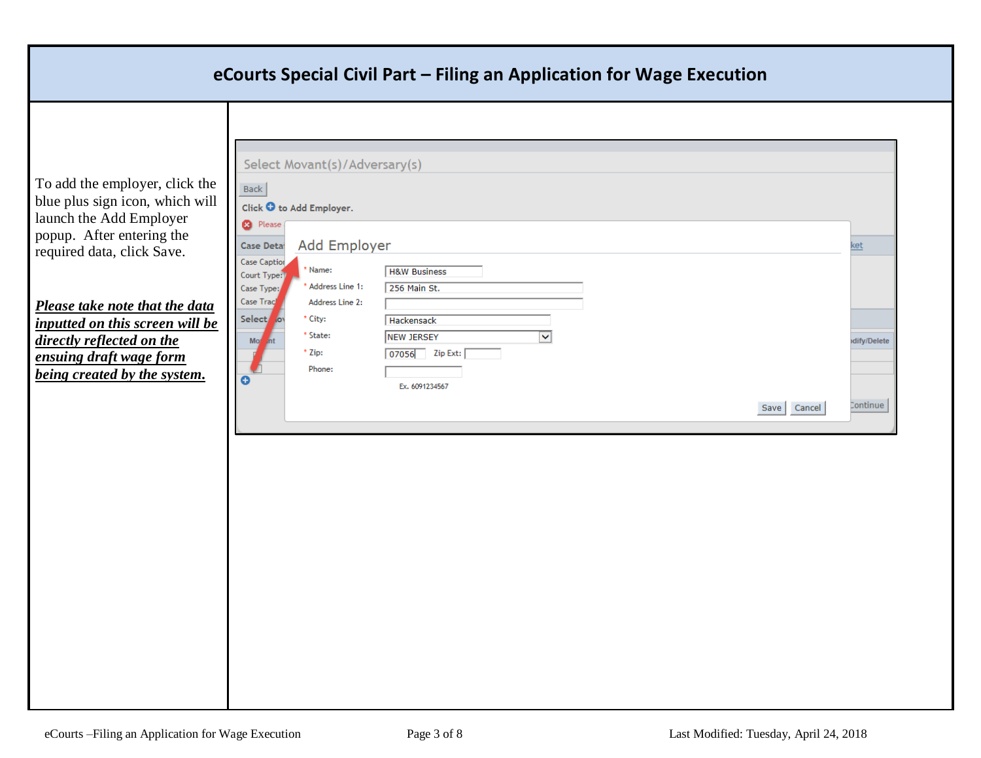To add the employer, click blue plus sign icon, which v launch the Add Employer popup. After entering the required data, click Save.

Τ

*Please take note that the da inputted on this screen will directly reflected on the ensuing draft wage form being created by the system.*

| the<br>will<br>Click $\bullet$ to Add Employer.<br><sup>2</sup> Please<br>Add Employer<br>Case Detai<br>Case Caption<br>* Name:<br><b>H&amp;W Business</b><br>Court Type:<br>* Address Line 1:<br>256 Main St.<br>Case Type:<br>Case Track<br>Address Line 2:<br>ata<br>Select ov<br>* City:<br>Hackensack<br>l be<br>* State:<br><b>NEW JERSEY</b><br>V<br>Mo<br>int<br>07056 Zip Ext:<br>$*$ Zip:<br>Phone:<br>$\bullet$<br>Ex. 6091234567<br>Cancel<br>Save | <b>Back</b> | Select Movant(s)/Adversary(s) |  |             |
|----------------------------------------------------------------------------------------------------------------------------------------------------------------------------------------------------------------------------------------------------------------------------------------------------------------------------------------------------------------------------------------------------------------------------------------------------------------|-------------|-------------------------------|--|-------------|
|                                                                                                                                                                                                                                                                                                                                                                                                                                                                |             |                               |  |             |
|                                                                                                                                                                                                                                                                                                                                                                                                                                                                |             |                               |  |             |
|                                                                                                                                                                                                                                                                                                                                                                                                                                                                |             |                               |  | ket         |
|                                                                                                                                                                                                                                                                                                                                                                                                                                                                |             |                               |  |             |
|                                                                                                                                                                                                                                                                                                                                                                                                                                                                |             |                               |  |             |
|                                                                                                                                                                                                                                                                                                                                                                                                                                                                |             |                               |  |             |
|                                                                                                                                                                                                                                                                                                                                                                                                                                                                |             |                               |  |             |
|                                                                                                                                                                                                                                                                                                                                                                                                                                                                |             |                               |  | dify/Delete |
|                                                                                                                                                                                                                                                                                                                                                                                                                                                                |             |                               |  |             |
|                                                                                                                                                                                                                                                                                                                                                                                                                                                                |             |                               |  |             |
|                                                                                                                                                                                                                                                                                                                                                                                                                                                                |             |                               |  |             |
|                                                                                                                                                                                                                                                                                                                                                                                                                                                                |             |                               |  | Continue    |
|                                                                                                                                                                                                                                                                                                                                                                                                                                                                |             |                               |  |             |
|                                                                                                                                                                                                                                                                                                                                                                                                                                                                |             |                               |  |             |
|                                                                                                                                                                                                                                                                                                                                                                                                                                                                |             |                               |  |             |
|                                                                                                                                                                                                                                                                                                                                                                                                                                                                |             |                               |  |             |
|                                                                                                                                                                                                                                                                                                                                                                                                                                                                |             |                               |  |             |
|                                                                                                                                                                                                                                                                                                                                                                                                                                                                |             |                               |  |             |
|                                                                                                                                                                                                                                                                                                                                                                                                                                                                |             |                               |  |             |
|                                                                                                                                                                                                                                                                                                                                                                                                                                                                |             |                               |  |             |
|                                                                                                                                                                                                                                                                                                                                                                                                                                                                |             |                               |  |             |
|                                                                                                                                                                                                                                                                                                                                                                                                                                                                |             |                               |  |             |
|                                                                                                                                                                                                                                                                                                                                                                                                                                                                |             |                               |  |             |
|                                                                                                                                                                                                                                                                                                                                                                                                                                                                |             |                               |  |             |
|                                                                                                                                                                                                                                                                                                                                                                                                                                                                |             |                               |  |             |
|                                                                                                                                                                                                                                                                                                                                                                                                                                                                |             |                               |  |             |
|                                                                                                                                                                                                                                                                                                                                                                                                                                                                |             |                               |  |             |
|                                                                                                                                                                                                                                                                                                                                                                                                                                                                |             |                               |  |             |
|                                                                                                                                                                                                                                                                                                                                                                                                                                                                |             |                               |  |             |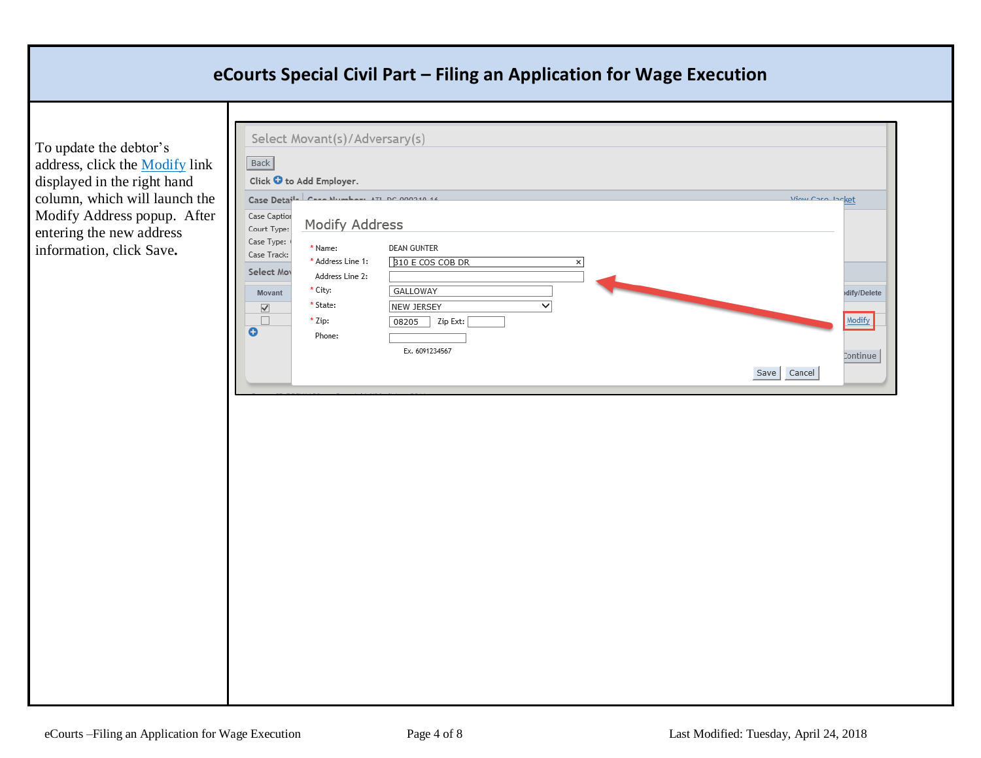To update the debtor's address, click the Modify link displayed in the right hand column, which will launch the Modify Address popup. After entering the new address information, click Save**.**

| Case Caption                                                                                                    | Click $\bullet$ to Add Employer.<br>Case Details Case Number ATL DC 000340-44                        |                                                                                                                                          | View Case Insket |                       |
|-----------------------------------------------------------------------------------------------------------------|------------------------------------------------------------------------------------------------------|------------------------------------------------------------------------------------------------------------------------------------------|------------------|-----------------------|
| Court Type:<br>Case Type:<br>Case Track:<br>Select Mov<br>Movant<br>$\blacktriangledown$<br>$\Box$<br>$\bullet$ | Modify Address<br>* Name:<br>* Address Line 1:<br>Address Line 2:<br>* City:<br>* State:<br>$*$ Zip: | <b>DEAN GUNTER</b><br><b>B10 E COS COB DR</b><br>$\times$<br><b>GALLOWAY</b><br>$\overline{\check{}}$<br>NEW JERSEY<br>Zip Ext:<br>08205 |                  | dify/Delete<br>Modify |
|                                                                                                                 | Phone:                                                                                               | Ex. 6091234567                                                                                                                           | Cancel<br>Save   | Continue              |
|                                                                                                                 |                                                                                                      |                                                                                                                                          |                  |                       |
|                                                                                                                 |                                                                                                      |                                                                                                                                          |                  |                       |
|                                                                                                                 |                                                                                                      |                                                                                                                                          |                  |                       |
|                                                                                                                 |                                                                                                      |                                                                                                                                          |                  |                       |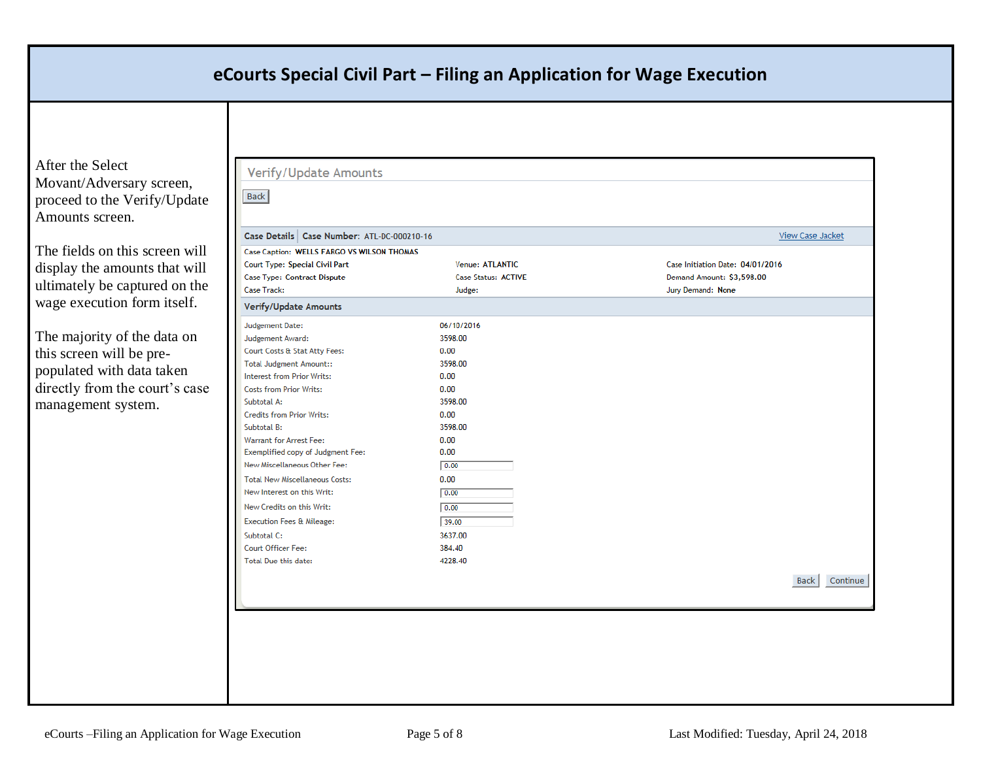After the Select Movant/Adversary screen, proceed to the Verify/Update Amounts screen.

The fields on this screen will display the amounts that will ultimately be captured on the wage execution form itself.

The majority of the data on this screen will be prepopulated with data taken directly from the court's case management system.

| Case Details   Case Number: ATL-DC-000210-16 |                            | View Case Jacket                 |
|----------------------------------------------|----------------------------|----------------------------------|
| Case Caption: WELLS FARGO VS WILSON THOMAS   |                            |                                  |
| Court Type: Special Civil Part               | Venue: ATLANTIC            | Case Initiation Date: 04/01/2016 |
| Case Type: Contract Dispute                  | <b>Case Status: ACTIVE</b> | Demand Amount: \$3,598.00        |
| Case Track:                                  | Judge:                     | Jury Demand: None                |
| <b>Verify/Update Amounts</b>                 |                            |                                  |
| Judgement Date:                              | 06/10/2016                 |                                  |
| Judgement Award:                             | 3598.00                    |                                  |
| Court Costs & Stat Atty Fees:                | 0.00                       |                                  |
| <b>Total Judgment Amount::</b>               | 3598.00                    |                                  |
| <b>Interest from Prior Writs:</b>            | 0.00                       |                                  |
| <b>Costs from Prior Writs:</b>               | 0.00                       |                                  |
| Subtotal A:                                  | 3598.00                    |                                  |
| <b>Credits from Prior Writs:</b>             | 0.00                       |                                  |
| Subtotal B:                                  | 3598.00                    |                                  |
| <b>Warrant for Arrest Fee:</b>               | 0.00                       |                                  |
| Exemplified copy of Judgment Fee:            | 0.00                       |                                  |
| New Miscellaneous Other Fee:                 | 0.00                       |                                  |
| <b>Total New Miscellaneous Costs:</b>        | 0.00                       |                                  |
| New Interest on this Writ:                   | 0.00                       |                                  |
| New Credits on this Writ:                    | 0.00                       |                                  |
| <b>Execution Fees &amp; Mileage:</b>         | 39.00                      |                                  |
| Subtotal C:                                  | 3637.00                    |                                  |
| Court Officer Fee:                           | 384.40                     |                                  |
| Total Due this date:                         | 4228.40                    |                                  |
|                                              |                            |                                  |
|                                              |                            | Continue<br><b>Back</b>          |
|                                              |                            |                                  |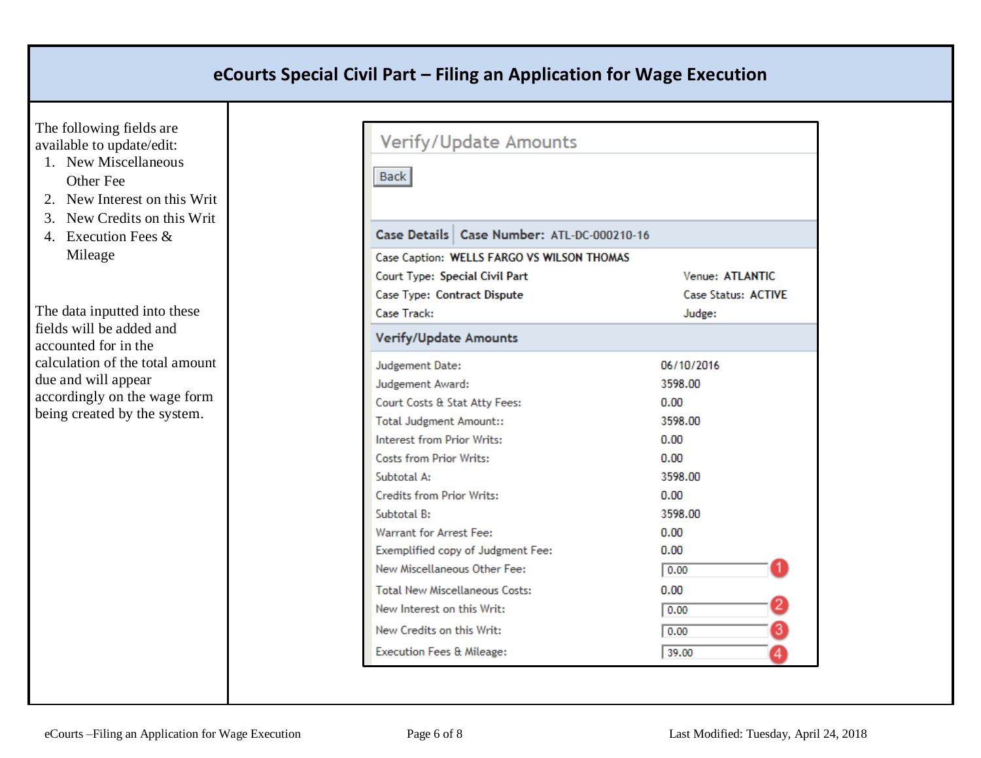The following fields are available to update/edit:

- 1. New Miscellaneous Other Fee
- 2. New Interest on this Writ
- 3. New Credits on this Writ
- 4. Execution Fees & Mileage

The data inputted into these fields will be added and accounted for in the calculation of the total amount due and will appear accordingly on the wage form being created by the system.

| Verify/Update Amounts                        |                            |  |  |
|----------------------------------------------|----------------------------|--|--|
| <b>Back</b>                                  |                            |  |  |
|                                              |                            |  |  |
| Case Details   Case Number: ATL-DC-000210-16 |                            |  |  |
| Case Caption: WELLS FARGO VS WILSON THOMAS   |                            |  |  |
| Court Type: Special Civil Part               | Venue: ATLANTIC            |  |  |
| Case Type: Contract Dispute                  | <b>Case Status: ACTIVE</b> |  |  |
| Case Track:                                  | Judge:                     |  |  |
| <b>Verify/Update Amounts</b>                 |                            |  |  |
| Judgement Date:                              | 06/10/2016                 |  |  |
| Judgement Award:                             | 3598.00                    |  |  |
| Court Costs & Stat Atty Fees:                | 0.00                       |  |  |
| <b>Total Judgment Amount::</b>               | 3598.00                    |  |  |
| Interest from Prior Writs:                   | 0.00                       |  |  |
| <b>Costs from Prior Writs:</b>               | 0.00                       |  |  |
| Subtotal A:                                  | 3598.00                    |  |  |
| <b>Credits from Prior Writs:</b>             | 0.00                       |  |  |
| Subtotal B:                                  | 3598.00                    |  |  |
| <b>Warrant for Arrest Fee:</b>               | 0.00                       |  |  |
| Exemplified copy of Judgment Fee:            | 0.00                       |  |  |
| New Miscellaneous Other Fee:                 | 0.00                       |  |  |
| <b>Total New Miscellaneous Costs:</b>        | 0.00                       |  |  |
| New Interest on this Writ:                   | 0.00                       |  |  |
| New Credits on this Writ:                    | 0.00                       |  |  |
| <b>Execution Fees &amp; Mileage:</b>         | 39.00                      |  |  |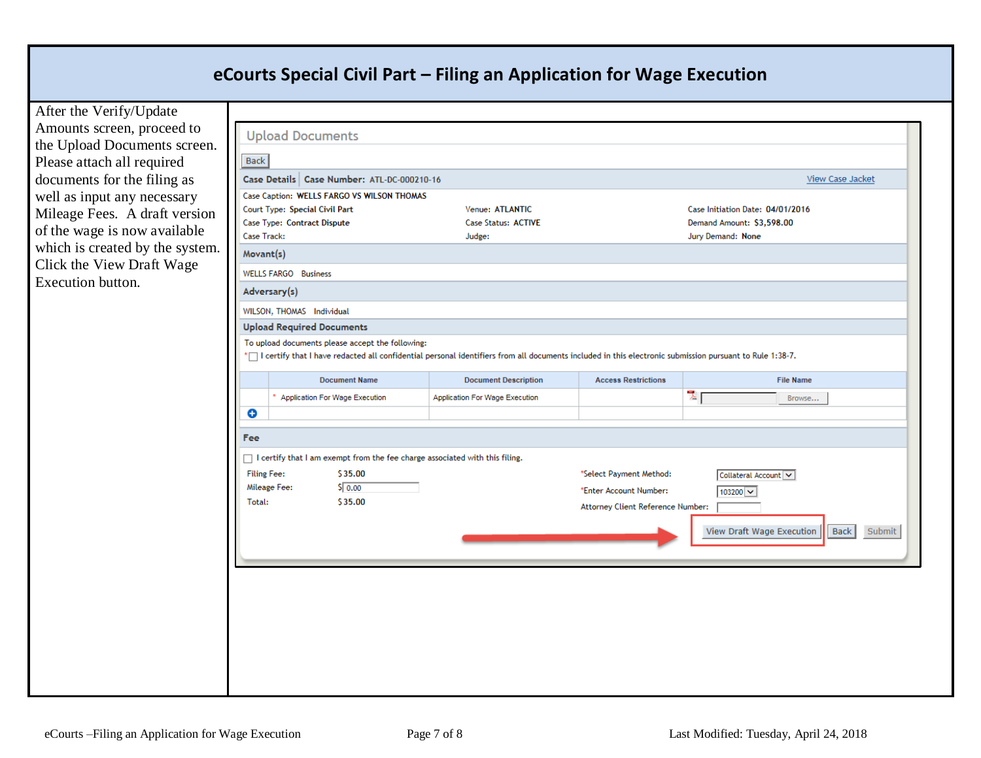After the Verify/Update Amounts screen, proceed to the Upload Documents scree Please attach all required documents for the filing as well as input any necessary Mileage Fees. A draft version of the wage is now available which is created by the syste Click the View Draft Wage Execution button.

Τ

| Case Details   Case Number: ATL-DC-000210-16                                                                                                              |                                |                                   | View Case Jacket                            |
|-----------------------------------------------------------------------------------------------------------------------------------------------------------|--------------------------------|-----------------------------------|---------------------------------------------|
| Case Caption: WELLS FARGO VS WILSON THOMAS                                                                                                                |                                |                                   |                                             |
| Court Type: Special Civil Part                                                                                                                            | Venue: ATLANTIC                |                                   | Case Initiation Date: 04/01/2016            |
| Case Type: Contract Dispute                                                                                                                               | Case Status: ACTIVE            |                                   | Demand Amount: \$3,598.00                   |
| Case Track:                                                                                                                                               | Judge:                         |                                   | Jury Demand: None                           |
| Movant(s)                                                                                                                                                 |                                |                                   |                                             |
| <b>WELLS FARGO Business</b>                                                                                                                               |                                |                                   |                                             |
| Adversary(s)                                                                                                                                              |                                |                                   |                                             |
| WILSON, THOMAS Individual                                                                                                                                 |                                |                                   |                                             |
| <b>Upload Required Documents</b>                                                                                                                          |                                |                                   |                                             |
| To upload documents please accept the following:                                                                                                          |                                |                                   |                                             |
| * I certify that I have redacted all confidential personal identifiers from all documents included in this electronic submission pursuant to Rule 1:38-7. |                                |                                   |                                             |
| <b>Document Name</b>                                                                                                                                      | <b>Document Description</b>    | <b>Access Restrictions</b>        | <b>File Name</b>                            |
| * Application For Wage Execution                                                                                                                          | Application For Wage Execution |                                   | $\overline{\lambda}$ [<br>Browse            |
| O                                                                                                                                                         |                                |                                   |                                             |
|                                                                                                                                                           |                                |                                   |                                             |
| <b>Fee</b>                                                                                                                                                |                                |                                   |                                             |
| □ I certify that I am exempt from the fee charge associated with this filing.                                                                             |                                |                                   |                                             |
| <b>Filing Fee:</b><br>\$35.00                                                                                                                             |                                | *Select Payment Method:           | Collateral Account V                        |
| 50.00<br>Mileage Fee:                                                                                                                                     |                                | *Enter Account Number:            | 103200 $\sim$                               |
| Total:<br>\$35.00                                                                                                                                         |                                | Attorney Client Reference Number: |                                             |
|                                                                                                                                                           |                                |                                   |                                             |
|                                                                                                                                                           |                                |                                   | View Draft Wage Execution<br>Back<br>Submit |
|                                                                                                                                                           |                                |                                   |                                             |
|                                                                                                                                                           |                                |                                   |                                             |
|                                                                                                                                                           |                                |                                   |                                             |
|                                                                                                                                                           |                                |                                   |                                             |
|                                                                                                                                                           |                                |                                   |                                             |
|                                                                                                                                                           |                                |                                   |                                             |
|                                                                                                                                                           |                                |                                   |                                             |